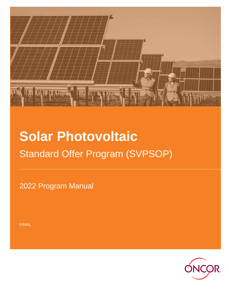

# **Solar Photovoltaic** Standard Offer Program (SVPSOP)

2022 Program Manual

FINAL

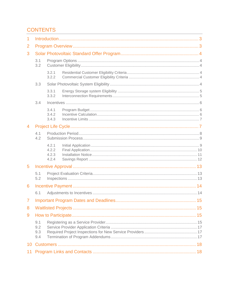# **CONTENTS**

| 1                                        |                          |                                  |  |  |  |  |  |  |  |  |
|------------------------------------------|--------------------------|----------------------------------|--|--|--|--|--|--|--|--|
| 2                                        |                          |                                  |  |  |  |  |  |  |  |  |
| 3                                        |                          |                                  |  |  |  |  |  |  |  |  |
|                                          | 3.1<br>3.2               |                                  |  |  |  |  |  |  |  |  |
|                                          |                          | 3.2.1<br>3.2.2                   |  |  |  |  |  |  |  |  |
|                                          | 3.3                      |                                  |  |  |  |  |  |  |  |  |
|                                          |                          | 3.3.1<br>3.3.2                   |  |  |  |  |  |  |  |  |
|                                          | 3.4                      |                                  |  |  |  |  |  |  |  |  |
|                                          |                          | 3.4.1<br>3.4.2<br>3.4.3          |  |  |  |  |  |  |  |  |
| 4                                        |                          |                                  |  |  |  |  |  |  |  |  |
| 5<br>6<br>$\overline{7}$<br>8<br>9<br>10 | 4.1<br>4.2               |                                  |  |  |  |  |  |  |  |  |
|                                          |                          | 4.2.1<br>4.2.2<br>4.2.3<br>4.2.4 |  |  |  |  |  |  |  |  |
|                                          |                          |                                  |  |  |  |  |  |  |  |  |
|                                          | 5.1<br>5.2               |                                  |  |  |  |  |  |  |  |  |
|                                          |                          |                                  |  |  |  |  |  |  |  |  |
|                                          | 6.1                      |                                  |  |  |  |  |  |  |  |  |
|                                          |                          |                                  |  |  |  |  |  |  |  |  |
|                                          |                          |                                  |  |  |  |  |  |  |  |  |
|                                          |                          |                                  |  |  |  |  |  |  |  |  |
|                                          | 9.1<br>9.2<br>9.3<br>9.4 |                                  |  |  |  |  |  |  |  |  |
|                                          |                          |                                  |  |  |  |  |  |  |  |  |
| 11                                       |                          |                                  |  |  |  |  |  |  |  |  |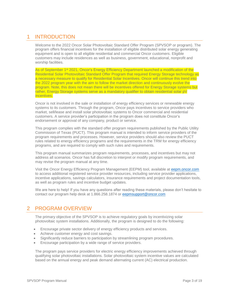# <span id="page-2-0"></span>1 INTRODUCTION

Welcome to the 2022 Oncor Solar Photovoltaic Standard Offer Program (SPVSOP or program). The program offers financial incentives for the installation of eligible distributed solar energy generating equipment and is open to all eligible residential and commercial Oncor customers. Eligible customers may include residences as well as business, government, educational, nonprofit and worship facilities.

As of September 1<sup>st</sup> 2021, Oncor's Energy Efficiency Department launched a modification of the Residential Solar Photovoltaic Standard Offer Program that required Energy Storage technology as a necessary measure to qualify for Residential Solar Incentives. Oncor will continue this trend into the 2022 program year with the aim to follow the market direction and continuously evolve the program. Note, this does not mean there will be incentives offered for Energy Storage systems but rather, Energy Storage systems serve as a mandatory qualifier to obtain residential solar pV incentives.

Oncor is not involved in the sale or installation of energy efficiency services or renewable energy systems to its customers. Through the program, Oncor pays incentives to service providers who market, sell/lease and install solar photovoltaic systems to Oncor commercial and residential customers. A service provider's participation in the program does not constitute Oncor's endorsement or approval of any company, product or service.

This program complies with the standard offer program requirements published by the Public Utility Commission of Texas (PUCT). This program manual is intended to inform service providers of the program requirements and processes. However, service providers should also review the PUCT rules related to energy efficiency programs and the requirements in the TRM for energy efficiency programs, and are required to comply with such rules and requirements.

This program manual summarizes program requirements, processes, and incentives but may not address all scenarios. Oncor has full discretion to interpret or modify program requirements, and may revise the program manual at any time.

Visit the Oncor Energy Efficiency Program Management (EEPM) tool, available at [eepm.oncor.com](https://www.oncoreepm.com/)  to access additional registered service provider resources, including service provider applications, incentive applications, savings calculators, insurance requirements and project documentation tools, as well as program rules and incentive budget updates.

We are here to help! If you have any questions after reading these materials, please don't hesitate to contact our program help desk at 1.866.258.1874 or [eepmsupport@oncor.com](mailto:eepmsupport@oncor.com)

# <span id="page-2-1"></span>2 PROGRAM OVERVIEW

The primary objective of the SPVSOP is to achieve regulatory goals by incentivizing solar photovoltaic system installations. Additionally, the program is designed to do the following:

- Encourage private sector delivery of energy efficiency products and services.
- Achieve customer energy and cost savings.
- Significantly reduce barriers to participation by streamlining program procedures.
- Encourage participation by a wide range of service providers.

The program pays service providers for electric energy efficiency improvements achieved through qualifying solar photovoltaic installations. Solar photovoltaic system incentive values are calculated based on the annual energy and peak demand alternating current (AC) electrical production.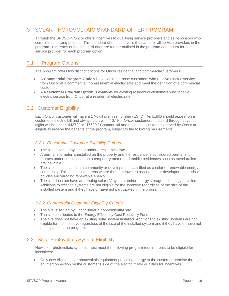# <span id="page-3-0"></span>3 SOLAR PHOTOVOLTAIC STANDARD OFFER PROGRAM

Through the SPVSOP, Oncor offers incentives to qualifying service providers and self-sponsors who complete qualifying projects. This standard offer incentive is the same for all service providers in the program. The terms of the standard offer are further outlined in the program addendum for each service provider for each program option.

## 3.1 Program Options

<span id="page-3-1"></span>The program offers two distinct options for Oncor residential and commercial customers:

- A **Commercial Program Option** is available for those customers who receive electric service from Oncor at a commercial, non-residential electric rate and meet the definition of a commercial customer.
- A **Residential Program Option** is available for existing residential customers who receive electric service from Oncor at a residential electric rate.

# <span id="page-3-2"></span>3.2 Customer Eligibility

Each Oncor customer will have a 17-digit premise number (ESIID). An ESIID should appear on a customer's electric bill and always start with "10." For Oncor customers, the third through seventh digits will be either "44372" or "17699." Commercial and residential customers served by Oncor are eligible to receive the benefits of the program, subject to the following requirements:

## <span id="page-3-3"></span>*3.2.1 Residential Customer Eligibility Criteria*

- The site is served by Oncor under a residential rate.
- A permanent meter is installed on the property and the residence is considered permanent (homes under construction on a temporary meter, and mobile residences such as travel trailers are ineligible).
- The site is not located in a community or development classified as a solar or renewable energy community. This can include areas where the homeowners association or developer established policies encouraging renewable energy.
- The site does not have an existing solar pV system and/or energy storage technology installed. Additions to existing systems are not eligible for the incentive regardless of the size of the installed system and if they have or have not participated in the program.

## <span id="page-3-4"></span>*3.2.2 Commercial Customer Eligibility Criteria*

- The site is served by Oncor under a nonresidential rate.
- The site contributes to the Energy Efficiency Cost Recovery Fund.
- The site does not have an existing solar system installed. Additions to existing systems are not eligible for the incentive regardless of the size of the installed system and if they have or have not participated in the program.

## <span id="page-3-5"></span>3.3 Solar Photovoltaic System Eligibility

New solar photovoltaic systems must meet the following program requirements to be eligible for incentives:

 Only new eligible solar photovoltaic equipment providing energy to the customer premise through an interconnection on the customer's side of the electric meter qualifies for incentives.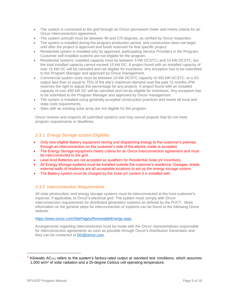- The system is connected to the grid through an Oncor permanent meter and meets criteria for an Oncor interconnection agreement.
- The system azimuth must be between 90 and 270 degrees, as verified by Oncor inspection.
- The system is installed during the program production period, and construction does not begin until after the project is approved and funds reserved for that specific project.
- Residential system is installed only by approved, participating Service Providers in the Program. Customer self-installed systems are not eligible for the program.
- Residential systems' installed capacity must be between 3 kW DCSTC1 and 15 kW DCSTC, but the total installed capacity cannot exceed 15 kW DC. A project found with an installed capacity of over 15 kW DC will be canceled and not eligible for incentives. Any exception has to be submitted to the Program Manager and approved by Oncor management.
- Commercial system sizes must be between 10 kW DCSTC capacity of 450 kW DCSTC, or a DC output less than or equal to 75% of the site's maximum demand over the past 12 months (PM reserves the right to adjust this percentage for any project). A project found with an installed capacity of over 450 kW DC will be canceled and not be eligible for incentives. Any exception has to be submitted to the Program Manager and approved by Oncor management.
- The system is installed using generally accepted construction practices and meets all local and state code requirements.
- Sites with an existing solar array are not eligible for the program.

Oncor reviews and inspects all submitted systems and may cancel projects that do not meet program requirements or deadlines.

## <span id="page-4-0"></span>*3.3.1 Energy Storage system Eligibility*

- Only new eligible Battery equipment storing and dispatching energy to the customer's premise through an interconnection on the customer's side of the electric meter is accepted.
- The Energy Storage equipment meets criteria for an Oncor interconnection agreement and must be interconnected to the grid.
- Lead Acid Batteries are not accepted as qualifiers for Residential Solar pV incentives.
- All Energy Storage systems must be installed outside the customer's residence. Garages, sheds, external walls of residence are all acceptable locations to set up the energy storage system.
- The Battery system must be charged by the Solar pV system it is installed with.

## <span id="page-4-1"></span>*3.3.2 Interconnection Requirements*

All solar photovoltaic and energy storage systems must be interconnected at the host customer's expense; if applicable, to Oncor's electrical grid. The system must comply with Oncor interconnection requirements for distributed generation systems as defined by the PUCT. More information on the general steps for interconnection of systems can be found at the following Oncor website:

#### <https://www.oncor.com/SitePages/RenewableEnergy.aspx>

Arrangements regarding interconnection must be made with the Oncor representatives responsible for interconnection agreements as soon as possible through Oncor's Distributive Generation and they can be contacted at [DG@oncor.com](mailto:DG@oncor.com) .

 $\overline{\phantom{a}}$ 

<sup>&</sup>lt;sup>1</sup> Kilowatts AC<sub>STC</sub> refers to the system's factory-rated output at standard test conditions, which assumes 1,000 w/m<sup>2</sup> of solar radiation and a 25-degree Celsius cell operating temperature.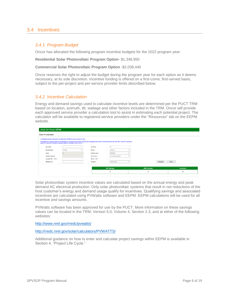## <span id="page-5-1"></span><span id="page-5-0"></span>3.4 Incentives

### *3.4.1 Program Budget*

Oncor has allocated the following program incentive budgets for the 2022 program year:

#### **Residential Solar Photovoltaic Program Option**- \$1,348,950

#### **Commercial Solar Photovoltaic Program Option** -\$2,038,440

Oncor reserves the right to adjust the budget during the program year for each option as it deems necessary, at its sole discretion. Incentive funding is offered on a first-come, first-served basis, subject to the per-project and per-service provider limits described below.

## <span id="page-5-2"></span>*3.4.2 Incentive Calculation*

Energy and demand savings used to calculate incentive levels are determined per the PUCT TRM based on location, azimuth, tilt, wattage and other factors included in the TRM. Oncor will provide each approved service provider a calculation tool to assist in estimating each potential project. The calculator will be available to registered service providers under the "Resources" tab on the EEPM website.

| eCalc for Oncor EEPM                                                                                                                                                                                                                                                                                          |                         |                          |  |                                   |                       |                   |              |                    |              |  |  |  |  |
|---------------------------------------------------------------------------------------------------------------------------------------------------------------------------------------------------------------------------------------------------------------------------------------------------------------|-------------------------|--------------------------|--|-----------------------------------|-----------------------|-------------------|--------------|--------------------|--------------|--|--|--|--|
| <b>Solar PV Calculator</b>                                                                                                                                                                                                                                                                                    |                         |                          |  |                                   |                       |                   |              |                    |              |  |  |  |  |
| 1) All Values in this calculator are estimates. EEPM Incentive amount is final.<br>2) Projects are capped based on Residential or Commercial accounts. Please check program manual for Project Incentive Cap. (DO NOT QUOTE Customers<br>based on Incentive Calculator Amount without checking Project CAPS). |                         |                          |  |                                   |                       |                   |              |                    |              |  |  |  |  |
| Zip Code *                                                                                                                                                                                                                                                                                                    | <b>1999</b><br><b>A</b> |                          |  | Quantity *                        | ×.<br><b>A</b>        | $\theta$          |              |                    |              |  |  |  |  |
| Manufacturer *                                                                                                                                                                                                                                                                                                | $\sim$                  | Choose                   |  | Model *                           | - 1                   | Choose            |              |                    |              |  |  |  |  |
| Watts                                                                                                                                                                                                                                                                                                         | $\sim$<br><b>A</b>      | $\overline{\phantom{0}}$ |  | Module Type *                     | $\sim$<br><b>1979</b> | Standard          |              |                    |              |  |  |  |  |
| <b>System Capacity</b>                                                                                                                                                                                                                                                                                        | <b>1999</b><br><b>A</b> |                          |  | Array Type *                      | ÷                     | Fixed (Open Rack) |              |                    |              |  |  |  |  |
| Azimuth (90° - 270°) *                                                                                                                                                                                                                                                                                        | ×.                      |                          |  | Tilt $(0^{\circ} - 90^{\circ})$ * | ÷.                    |                   |              |                    |              |  |  |  |  |
| Shading (%) *                                                                                                                                                                                                                                                                                                 | ÷.                      |                          |  | Program <sup>*</sup>              | ×                     | Commercial        | $\mathbf{v}$ | Calculate          | Clear        |  |  |  |  |
|                                                                                                                                                                                                                                                                                                               |                         |                          |  |                                   |                       |                   |              |                    |              |  |  |  |  |
|                                                                                                                                                                                                                                                                                                               |                         |                          |  |                                   | <b>kW Savings</b>     |                   |              | <b>kWh Savings</b> | Incentive    |  |  |  |  |
|                                                                                                                                                                                                                                                                                                               |                         |                          |  |                                   | $\bf{0}$              |                   |              | $\bf{0}$           | $\mathbf{0}$ |  |  |  |  |
|                                                                                                                                                                                                                                                                                                               |                         |                          |  |                                   |                       |                   |              |                    |              |  |  |  |  |

Solar photovoltaic system incentive values are calculated based on the annual energy and peak demand AC electrical production. Only solar photovoltaic systems that result in net reductions of the host customer's energy and demand usage qualify for incentives. Qualifying savings and associated incentives are calculated using PVWatts software and EEPM. EEPM calculations will be used for all incentive and savings amounts.

PVWatts software has been approved for use by the PUCT. More information on these savings values can be located in the TRM, Version 5.0, Volume 4, Section 2.3, and at either of the following websites:

<http://www.nrel.gov/rredc/pvwatts/>

[http://rredc.nrel.gov/solar/calculators/PVWATTS/](http://rredc.nrel.gov/solar/calculators/PVWATTS/version1/)

Additional guidance on how to enter and calculate project savings within EEPM is available in Section 4, "Project Life Cycle."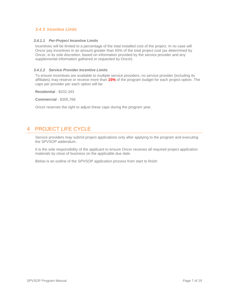## <span id="page-6-0"></span>*3.4.3 Incentive Limits*

#### *3.4.1.1 Per-Project Incentive Limits*

Incentives will be limited to a percentage of the total installed cost of the project. In no case will Oncor pay incentives in an amount greater than 50% of the total project cost (as determined by Oncor, in its sole discretion, based on information provided by the service provider and any supplemental information gathered or requested by Oncor).

#### *3.4.1.2 Service Provider Incentive Limits*

To ensure incentives are available to multiple service providers, no service provider (including its affiliates) may reserve or receive more than **15%** of the program budget for each project option. The caps per provider per each option will be:

**Residential** - \$202,343

**Commercial** - \$305,766

Oncor reserves the right to adjust these caps during the program year.

# <span id="page-6-1"></span>4 PROJECT LIFE CYCLE

Service providers may submit project applications only after applying to the program and executing the SPVSOP addendum.

It is the sole responsibility of the applicant to ensure Oncor receives all required project application materials by close of business on the applicable due date.

Below is an outline of the SPVSOP application process from start to finish: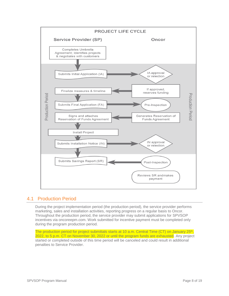

## <span id="page-7-0"></span>4.1 Production Period

During the project implementation period (the production period), the service provider performs marketing, sales and installation activities, reporting progress on a regular basis to Oncor. Throughout the production period, the service provider may submit applications for SPVSOP incentives via oncoreepm.com. Work submitted for incentive payment must be completed only during the program production period.

The production period for project submittals starts at 10 a.m. Central Time (CT) on January 25<sup>th</sup>, 2022, to 5 p.m. CT on November 30, 2022 or until the program funds are exhausted. Any project started or completed outside of this time period will be canceled and could result in additional penalties to Service Provider.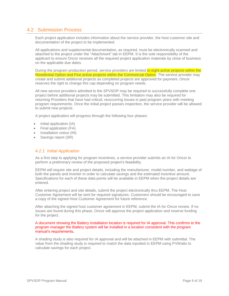## <span id="page-8-0"></span>4.2 Submission Process

Each project application includes information about the service provider, the host customer site and documentation of the project to be implemented.

All applications and supplemental documentation, as required, must be electronically scanned and attached to the project under the "Attachment" tab in EEPM. It is the sole responsibility of the applicant to ensure Oncor receives all the required project application materials by close of business on the applicable due dates.

During the program production period, service providers are limited to eight active projects within the Residential Option and Five active projects within the Commercial Option. The service provider may create and submit additional projects as completed projects are approved for payment. Oncor reserves the right to change this cap depending on program needs.

All new service providers admitted to the SPVSOP may be required to successfully complete one project before additional projects may be submitted. This limitation may also be required for returning Providers that have had critical, reoccurring issues in past program years with meeting program requirements. Once the initial project passes inspection, the service provider will be allowed to submit new projects.

A project application will progress through the following four phases:

- Initial application (IA)
- Final application (FA)
- Installation notice (IN)
- Savings report (SR)

## <span id="page-8-1"></span>*4.2.1 Initial Application*

As a first step to applying for program incentives, a service provider submits an IA for Oncor to perform a preliminary review of the proposed project's feasibility.

EEPM will require site and project details, including the manufacturer, model number, and wattage of both the panels and inverter in order to calculate savings and the estimated incentive amount. Specifications for each of these data points will be available in EEPM when the project details are entered.

After entering project and site details, submit the project electronically thru EEPM, The Host Customer Agreement will be sent for required signatures. Customers should be encouraged to save a copy of the signed Host Customer Agreement for future reference.

After attaching the signed host customer agreement in EEPM, submit the IA for Oncor review. If no issues are found during this phase, Oncor will approve the project application and reserve funding for the project.

#### A document showing the Battery Installation location is required for IA approval. This confirms to the program manager the Battery system will be installed in a location consistent with the program manual's requirements**.**

A shading study is also required for IA approval and will be attached in EEPM with submittal. The value from the shading study is required to match the data inputted in EEPM using PVWatts to calculate savings for each project.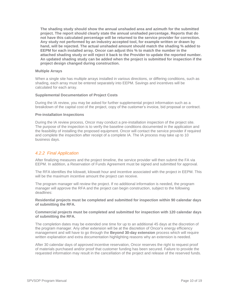**The shading study should show the annual unshaded area and azimuth for the submitted project. The report should clearly state the annual unshaded percentage. Reports that do not have this calculated percentage will be returned to the service provider for correction. Any study not performed by an industry accepted tool, for example written or drawn by hand, will be rejected. The actual unshaded amount should match the shading % added to EEPM for each installed array. Oncor can adjust this % to match the number in the attached shading study or will reject it back to the Provider to update the reported number. An updated shading study can be added when the project is submitted for inspection if the project design changed during construction.** 

#### **Multiple Arrays**

When a single site has multiple arrays installed in various directions, or differing conditions, such as shading, each array must be entered separately into EEPM. Savings and incentives will be calculated for each array.

#### **Supplemental Documentation of Project Costs**

During the IA review, you may be asked for further supplemental project information such as a breakdown of the capital cost of the project, copy of the customer's invoice, bid proposal or contract.

#### **Pre-installation Inspections**

During the IA review process, Oncor may conduct a pre-installation inspection of the project site. The purpose of the inspection is to verify the baseline conditions documented in the application and the feasibility of installing the proposed equipment. Oncor will contact the service provider if required and complete the inspection after receipt of a complete IA. The IA process may take up to 10 business days.

## <span id="page-9-0"></span>*4.2.2 Final Application*

After finalizing measures and the project timeline, the service provider will then submit the FA via EEPM. In addition, a Reservation of Funds Agreement must be signed and submitted for approval.

The RFA identifies the kilowatt, kilowatt hour and incentive associated with the project in EEPM. This will be the maximum incentive amount the project can receive.

The program manager will review the project. If no additional information is needed, the program manager will approve the RFA and the project can begin construction, subject to the following deadlines:

**Residential projects must be completed and submitted for inspection within 90 calendar days of submitting the RFA.**

#### **Commercial projects must be completed and submitted for inspection with 120 calendar days of submitting the RFA.**

The completion dates may be extended one time for up to an additional 45 days at the discretion of the program manager. Any other extension will be at the discretion of Oncor's energy efficiency management and will have to go through the **Beyond 30-day extension** process which will require written explanation and extra documentation highlighting reasons why an extension is needed.

After 30 calendar days of approved incentive reservation, Oncor reserves the right to request proof of materials purchased and/or proof that customer funding has been secured. Failure to provide the requested information may result in the cancellation of the project and release of the reserved funds.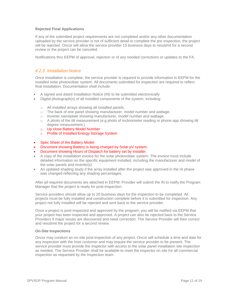#### **Rejected Final Applications**

If any of the submitted project requirements are not completed and/or any other documentation uploaded by the service provider is not of sufficient detail to complete the pre-inspection, the project will be rejected. Oncor will allow the service provider 15 business days to resubmit for a second review or the project can be canceled.

Notifications thru EEPM of approval, rejection or of any needed corrections or updates to the FA.

## <span id="page-10-0"></span>*4.2.3 Installation Notice*

Once installation is complete, the service provider is required to provide information in EEPM for the installed solar photovoltaic system. All documents submitted for inspection are required to reflect final installation. Documentation shall include:

- A signed and dated Installation Notice (IN) to be submitted electronically
- Digital photograph(s) of all installed components of the system, including:
	- o All installed arrays showing all installed panels.
	- $\circ$  The back of one panel showing manufacturer, model number and wattage.
	- o Inverter nameplate showing manufacturer, model number and wattage.
	- $\circ$  A photo of the tilt measurement (e.g photo of inclinometer reading or phone app showing tilt degree measurement.)
	- o Up close Battery Model Number
	- o Profile of Installed Energy Storage System
- Spec Sheet of the Battery Model
- Document showing Battery is being charged by Solar pV system.
- Document showing Hours of Dispatch for battery set by installer.
- A copy of the installation invoice for the solar photovoltaic system. The invoice must include detailed information on the specific equipment installed, including the manufacturer and model of the solar panels and inverter(s)
- An updated shading study if the array installed after the project was approved in the IA phase was changed reflecting any shading percentages

After all required documents are attached in EEPM; Provider will submit the IN to notify the Program Manager that the project is ready for post-inspection.

Service providers should allow up to 20 business days for the inspection to be completed. All projects must be fully installed and construction complete before it is submitted for inspection. Any project not fully installed will be rejected and sent back to the service provider.

Once a project is post-inspected and approved by the program, you will be notified via EEPM that your project has been inspected and approved. A project can also be rejected back to the Service Providers if major issues are discovered and need correction. The Service Provider will then correct and resubmit the project for a second review.

#### **On-Site Inspections**

Oncor may conduct an on-site post-inspection of any project. Oncor will schedule a time and date for any inspection with the host customer and may require the service provider to be present. The service provider must provide the inspector with access to the solar panel installation site inspection as needed. The Service Provider shall be available to meet the inspector on site for all commercial inspection as requested by the Inspection team.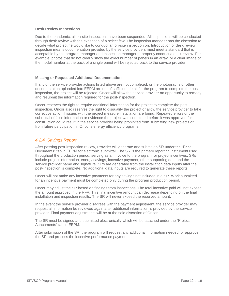#### **Desk Review Inspections**

Due to the pandemic, all on-site inspections have been suspended. All inspections will be conducted through desk review with the exception of a select few. The inspection manager has the discretion to decide what project he would like to conduct an on-site inspection on. Introduction of desk review inspection means documentation provided by the service providers must meet a standard that is acceptable by the program manager and Inspection manager to properly conduct a desk review. For example, photos that do not clearly show the exact number of panels in an array, or a clear image of the model number at the back of a single panel will be rejected back to the service provider.

#### **Missing or Requested Additional Documentation**

If any of the service provider actions listed above are not completed, or the photographs or other documentation uploaded into EEPM are not of sufficient detail for the program to complete the postinspection, the project will be rejected. Oncor will allow the service provider an opportunity to remedy and resubmit the information required for the post-inspection.

Oncor reserves the right to require additional information for the project to complete the postinspection. Oncor also reserves the right to disqualify the project or allow the service provider to take corrective action if issues with the project measure installation are found. Repeated errors or the submittal of false information or evidence the project was completed before it was approved for construction could result in the service provider being prohibited from submitting new projects or from future participation in Oncor's energy efficiency programs.

## <span id="page-11-0"></span>*4.2.4 Savings Report*

After passing post-inspection review, Provider will generate and submit an SR under the "Print Documents" tab in EEPM for electronic submittal. The SR is the primary reporting instrument used throughout the production period, serving as an invoice to the program for project incentives. SRs include project information, energy savings, incentive payment, other supporting data and the service provider name and signature. SRs are generated from the installation data inputs after the post-inspection is complete. No additional data inputs are required to generate these reports.

Oncor will not make any incentive payments for any savings not included in a SR. Work submitted for an incentive payment must be completed only during the program production period.

Oncor may adjust the SR based on findings from inspections. The total incentive paid will not exceed the amount approved in the RFA. This final incentive amount can decrease depending on the final installation and inspection results. The SR will never exceed the reserved amount.

In the event the service provider disagrees with the payment adjustment, the service provider may request all information be reviewed again after additional information is provided by the service provider. Final payment adjustments will be at the sole discretion of Oncor.

The SR must be signed and submitted electronically which will be attached under the "Project Attachments" tab in EEPM.

After submission of the SR, the program will request any additional information needed, or approve the SR and process the incentive performance payment.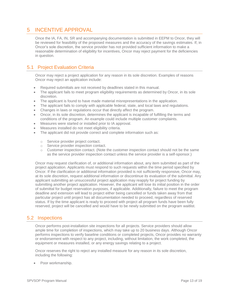# <span id="page-12-0"></span>5 INCENTIVE APPROVAL

Once the IA, FA, IN, SR and accompanying documentation is submitted in EEPM to Oncor, they will be reviewed for feasibility of the proposed measures and the accuracy of the savings estimates. If, in Oncor's sole discretion, the service provider has not provided sufficient information to make a reasonable determination of eligibility for incentives, Oncor may reject payment for the deficiencies in question.

# <span id="page-12-1"></span>5.1 Project Evaluation Criteria

Oncor may reject a project application for any reason in its sole discretion. Examples of reasons Oncor may reject an application include:

- Required submittals are not received by deadlines stated in this manual.
- The applicant fails to meet program eligibility requirements as determined by Oncor, in its sole discretion.
- The applicant is found to have made material misrepresentations in the application.
- The applicant fails to comply with applicable federal, state, and local laws and regulations.
- Changes in laws or regulations occur that directly affect the program.
- Oncor, in its sole discretion, determines the applicant is incapable of fulfilling the terms and conditions of the program. An example could include multiple customer complaints.
- Measures were started or installed prior to IA approval.
- Measures installed do not meet eligibility criteria.
- The applicant did not provide correct and complete information such as:
	- o Service provider project contact.
	- o Service provider inspection contact.
	- $\circ$  Customer inspection contact. (Note the customer inspection contact should not be the same as the service provider inspection contact unless the service provider is a self-sponsor.)

Oncor may request clarification of, or additional information about, any item submitted as part of the project application. Applicants must respond to such requests within the time period specified by Oncor. If the clarification or additional information provided is not sufficiently responsive, Oncor may, at its sole discretion, request additional information or discontinue its evaluation of the submittal. Any applicant submitting an unsuccessful project application may reapply for project funding by submitting another project application. However, the applicant will lose its initial position in the order of submittal for budget reservation purposes, if applicable. Additionally, failure to meet the program deadline and extension will lead to project either being cancelled or funds taken away from that particular project until project has all documentation needed to proceed, regardless of reserved status. If by the time applicant is ready to proceed with project all program funds have been fully reserved, project will be cancelled and would have to be newly submitted on the program waitlist.

## <span id="page-12-2"></span>5.2 Inspections

Oncor performs post-installation site inspections for all projects. Service providers should allow ample time for completion of inspections, which may take up to 20 business days. Although Oncor performs inspections to verify baseline conditions or completed projects, Oncor provides no warranty or endorsement with respect to any project, including, without limitation, the work completed, the equipment or measures installed, or any energy savings relating to a project.

Oncor reserves the right to reject any installed measure for any reason in its sole discretion, including the following:

Poor workmanship.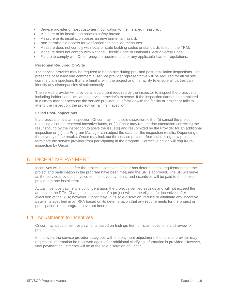- Service provider or host customer modification to the installed measure. .
- Measure or its installation poses a safety hazard.
- Measure or its installation poses an environmental hazard.
- Non-permissible access for verification for installed measures.
- Measure does not comply with local or state building codes or standards listed in the TRM.
- Measure does not comply with National Electric Code or National Electric Safety Code.
- Failure to comply with Oncor program requirements or any applicable laws or regulations.

#### **Personnel Required On-Site**

The service provider may be required to be on-site during pre- and post-installation inspections. The presence of at least one commercial service provider representative will be required for all on site commercial inspections that are familiar with the project and the facility to ensure all parties can identify any discrepancies simultaneously.

The service provider will provide all equipment required by the inspector to inspect the project site, including ladders and lifts, at the service provider's expense. If the inspection cannot be completed in a timely manner because the service provider is unfamiliar with the facility or project or fails to attend the inspection, the project will fail the inspection.

#### **Failed Post-Inspections**

If a project site fails an inspection, Oncor may, in its sole discretion, either (i) cancel the project releasing all of the reserved incentive funds, or (ii) Oncor may require documentation correcting the results found by the inspection to solve the issue(s) and resubmitted by the Provider for an additional inspection or (iii) the Program Manager can adjust the data per the inspection results. Depending on the severity of the results, Oncor may lock out the service provider from submitting new projects or terminate the service provider from participating in the program. Corrective action will require reinspection by Oncor.

# <span id="page-13-0"></span>6 INCENTIVE PAYMENT

Incentives will be paid after the project is complete, Oncor has determined all requirements for the project and participation in the program have been met, and the SR is approved. The SR will serve as the service provider's invoice for incentive payments, and incentives will be paid to the service provider in one installment.

Actual incentive payment is contingent upon the project's verified savings and will not exceed the amount in the RFA. Changes in the scope of a project will not be eligible for incentives after execution of the RFA; however, Oncor may, in its sole discretion, reduce or eliminate any incentive payments specified in an RFA based on its determination that any requirements for the project or participation in the program have not been met.

## <span id="page-13-1"></span>6.1 Adjustments to Incentives

Oncor may adjust incentive payments based on findings from on-site inspections and review of project data.

In the event the service provider disagrees with the payment adjustment, the service provider may request all information be reviewed again after additional clarifying information is provided. However, final payment adjustments will be at the sole discretion of Oncor.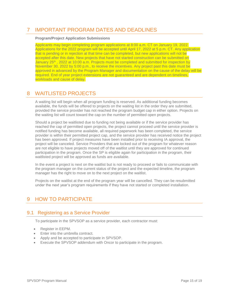# <span id="page-14-0"></span>7 IMPORTANT PROGRAM DATES AND DEADLINES

#### **Program/Project Application Submissions**

Applicants may begin completing program applications at 8:00 a.m. CT on January 19, 2022. Applications for the 2022 program will be accepted until April 17, 2022 at 5 p.m. CT. Any application that is pending or in rejection at that time can be completed, but new applications will not be accepted after this date. New projects that have not started construction can be submitted on January 25<sup>th</sup>, 2022 at 10:00 a.m. Projects must be completed and submitted for inspection by November 30, 2022 by 5:00 p.m., to receive the incentives. Any project past this date must be approved in advanced by the Program Manager and documentation on the cause of the delay will be required. End of year project extensions are not guaranteed and are dependent on timelines, workloads and cause of delay.

# <span id="page-14-1"></span>8 WAITLISTED PROJECTS

A waiting list will begin when all program funding is reserved. As additional funding becomes available, the funds will be offered to projects on the waiting list in the order they are submitted, provided the service provider has not reached the program budget cap in either option. Projects on the waiting list will count toward the cap on the number of permitted open projects.

Should a project be waitlisted due to funding not being available or if the service provider has reached the cap of permitted open projects, the project cannot proceed until the service provider is notified funding has become available, all required paperwork has been completed, the service provider is within their permitted project cap, and the service provider has received notice the project has been approved. If project measures have been installed prior to receiving IA approval, the project will be canceled. Service Providers that are locked out of the program for whatever reason are not eligible to have projects moved off of the waitlist until they are approved for continued participation in the program. Once the SP is eligible again for participation in the program, their waitlisted project will be approved as funds are available.

In the event a project is next on the waitlist but is not ready to proceed or fails to communicate with the program manager on the current status of the project and the expected timeline, the program manager has the right to move on to the next project on the waitlist.

Projects on the waitlist at the end of the program year will be cancelled. They can be resubmitted under the next year's program requirements if they have not started or completed installation.

# <span id="page-14-2"></span>9 HOW TO PARTICIPATE

## <span id="page-14-3"></span>9.1 Registering as a Service Provider

To participate in the SPVSOP as a service provider, each contractor must:

- Register in EEPM.
- Enter into the umbrella contract.
- Apply and be accepted to participate in SPVSOP.
- Execute the SPVSOP addendum with Oncor to participate in the program.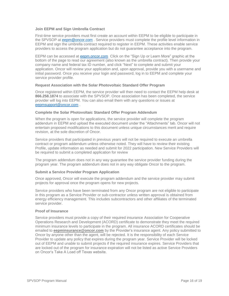#### **Join EEPM and Sign Umbrella Contract**

First-time service providers must first create an account within EEPM to be eligible to participate in the SPVSOP at [eepm@oncor.com](mailto:eepm@oncor.com) . Service providers must complete the profile level information in EEPM and sign the umbrella contract required to register in EEPM. These activities enable service providers to access the program application but do not guarantee acceptance into the program.

EEPM can be accessed at [eepm.oncor.com](https://www.oncoreepm.com/) Click on the "Sign Up or Learn More" graphic at the bottom of the page to read our agreement (also known as the umbrella contract). Then provide your company name and federal tax ID number, and click "Next" to complete and submit your application. Oncor will review your application and, upon approval, provide you with a username and initial password. Once you receive your login and password, log in to EEPM and complete your service provider profile.

#### **Request Association with the Solar Photovoltaic Standard Offer Program**

Once registered within EEPM, the service provider will then need to contact the EEPM help desk at **866.258.1874** to associate with the SPVSOP. Once association has been completed, the service provider will log into EEPM. You can also email them with any questions or issues at [eepmsupport@oncor.com](mailto:eepmsupport@oncor.com) .

#### **Complete the Solar Photovoltaic Standard Offer Program Addendum**

When the program is open for applications, the service provider will complete the program addendum in EEPM and upload the executed document under the "Attachments" tab. Oncor will not entertain proposed modifications to this document unless unique circumstances merit and require revision, at the sole discretion of Oncor.

Service providers that participated in previous years will not be required to execute an umbrella contract or program addendum unless otherwise noted. They will have to review their existing Profile, update information as needed and submit for 2022 participation. New Service Providers will be required to submit a completed application for review

The program addendum does not in any way guarantee the service provider funding during the program year. The program addendum does not in any way obligate Oncor to the program.

#### **Submit a Service Provider Program Application**

Once approved, Oncor will execute the program addendum and the service provider may submit projects for approval once the program opens for new projects.

Service providers who have been terminated from any Oncor program are not eligible to participate in this program as a Service Provider or sub-contractor unless written approval is obtained from energy efficiency management. This includes subcontractors and other affiliates of the terminated service provider.

#### **Proof of Insurance**

Service providers must provide a copy of their required insurance Association for Cooperative Operations Research and Development (ACORD) certificate to demonstrate they meet the required minimum insurance levels to participate in the program. All insurance ACORD certificates should be emailed to **eepminsurance@oncor.com** by the Provider's insurance agent. Any policy submitted to Oncor by anyone other than the agent, will be rejected. It is the responsibility of each Service Provider to update any policy that expires during the program year. Service Provider will be locked out of EEPM and unable to submit projects if the required insurance expires. Service Providers that are locked out of the program for insurance expiration will not be listed as active Service Providers on Oncor's Take A Load off Texas website.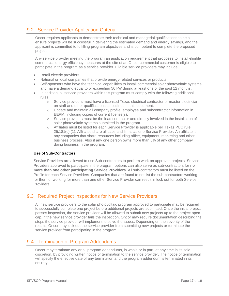# <span id="page-16-0"></span>9.2 Service Provider Application Criteria

Oncor requires applicants to demonstrate their technical and managerial qualifications to help ensure projects will be successful in delivering the estimated demand and energy savings, and the applicant is committed to fulfilling program objectives and is competent to complete the proposed project.

Any service provider meeting the program an application requirement that proposes to install eligible commercial energy efficiency measures at the site of an Oncor commercial customer is eligible to participate in the program as a service provider. Eligible service providers may include:

- Retail electric providers.
- National or local companies that provide energy-related services or products.
- Self-sponsors who have the technical capabilities to install commercial solar photovoltaic systems and have a demand equal to or exceeding 50 kW during at least one of the past 12 months.
- In addition, all service providers within this program must comply with the following additional rules:
	- o Service providers must have a licensed Texas electrical contractor or master electrician on staff and other qualifications as outlined in this document.
	- o Update and maintain all company profile, employee and subcontractor information in EEPM, including copies of current license(s).
	- $\circ$  Service providers must be the lead contractor and directly involved in the installation of solar photovoltaic systems submitted in the program.
	- o Affiliates must be listed for each Service Provider is applicable per Texas PUC rule 25.181(c) (1). Affiliates share all caps and limits as one Service Provider. An affiliate is any companies that share resources including office, equipment, marketing and other business process. Also if any one person owns more than 5% of any other company doing business in the program.

#### **Use of Sub-Contractors**

Service Providers are allowed to use Sub-contractors to perform work on approved projects. Service Providers approved to participate in the program options can also serve as sub-contractors for **no more than one other participating Service Providers**. All sub-contractors must be listed on the Profile for each Service Providers. Companies that are found to not list the sub-contractors working for them or working for more than one other Service Provider can result in lock out for both Service Providers.

## <span id="page-16-1"></span>9.3 Required Project Inspections for New Service Providers

All new service providers to the solar photovoltaic program approved to participate may be required to successfully complete one project before additional projects are submitted. Once the initial project passes inspection, the service provider will be allowed to submit new projects up to the project open cap. If the new service provider fails the inspection, Oncor may require documentation describing the steps the service provider will implement to solve the issues. Depending on the severity of the results, Oncor may lock out the service provider from submitting new projects or terminate the service provider from participating in the program.

## <span id="page-16-2"></span>9.4 Termination of Program Addendums

Oncor may terminate any or all program addendums, in whole or in part, at any time in its sole discretion, by providing written notice of termination to the service provider. The notice of termination will specify the effective date of any termination and the program addendum is terminated in its entirety.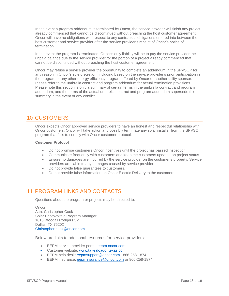In the event a program addendum is terminated by Oncor, the service provider will finish any project already commenced that cannot be discontinued without breaching the host customer agreement. Oncor will have no obligations with respect to any contractual obligations entered into between the host customer and service provider after the service provider's receipt of Oncor's notice of termination.

In the event the program is terminated, Oncor's only liability will be to pay the service provider the unpaid balance due to the service provider for the portion of a project already commenced that cannot be discontinued without breaching the host customer agreement.

Oncor may refuse a service provider the opportunity to complete an addendum in the SPVSOP for any reason in Oncor's sole discretion, including based on the service provider's prior participation in the program or any other energy efficiency program offered by Oncor or another utility sponsor. Please refer to the umbrella contract and program addendum for actual termination provisions. Please note this section is only a summary of certain terms in the umbrella contract and program addendum, and the terms of the actual umbrella contract and program addendum supersede this summary in the event of any conflict.

# <span id="page-17-0"></span>10 CUSTOMERS

Oncor expects Oncor approved service providers to have an honest and respectful relationship with Oncor customers. Oncor will take action and possibly terminate any solar installer from the SPVSO program that fails to comply with Oncor customer protocol.

#### **Customer Protocol**

- Do not promise customers Oncor incentives until the project has passed inspection.
- Communicate frequently with customers and keep the customers updated on project status.
- Ensure no damages are incurred by the service provider on the customer's property. Service providers are liable to any damages caused by service provider.
- Do not provide false guarantees to customers.
- Do not provide false information on Oncor Electric Delivery to the customers.

# <span id="page-17-1"></span>11 PROGRAM LINKS AND CONTACTS

Questions about the program or projects may be directed to:

**Oncor** Attn: Christopher Cook Solar Photovoltaic Program Manager 1616 Woodall Rodgers 5M Dallas, TX 75202 Christopher.cook@oncor.com

Below are links to additional resources for service providers:

- **EEPM** service provider portal: [eepm.oncor.com](https://www.oncoreepm.com/)
- Customer website: [www.takealoadofftexas.com](http://www.takealoadofftexas.com/)
- EEPM help desk: [eepmsupport@oncor.com](mailto:EEPMSupport@oncor.com) 866-258-1874
- EEPM insurance: [eepminsurance@oncor.com](mailto:eepminsurance@oncor.com) or 866-258-1874